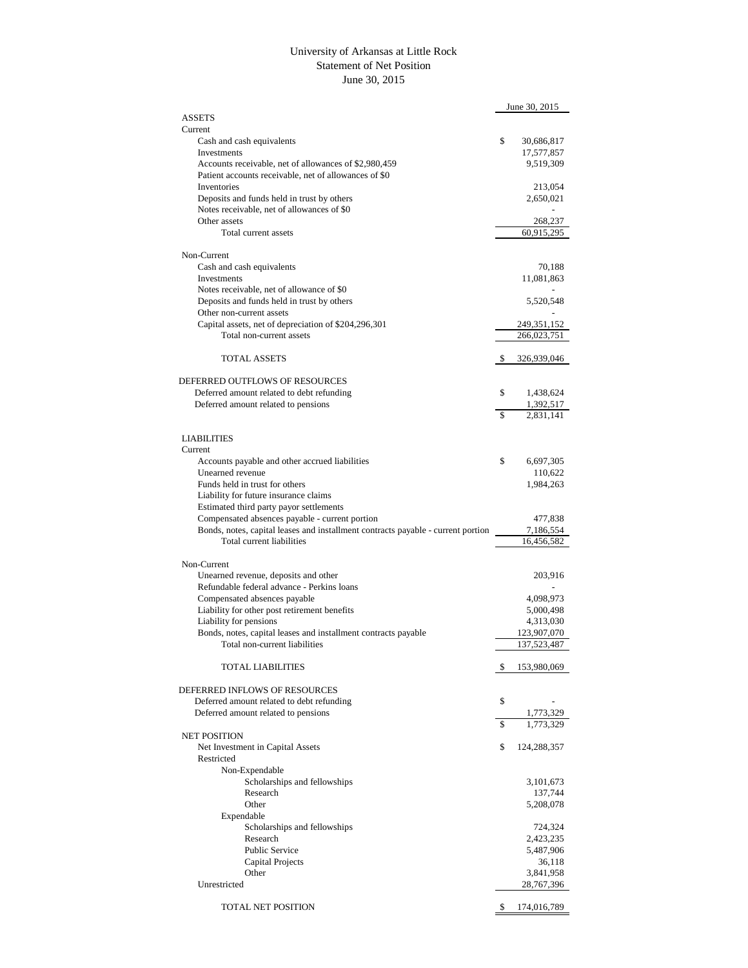## University of Arkansas at Little Rock Statement of Net Position June 30, 2015

|                                                                                  | June 30, 2015                |
|----------------------------------------------------------------------------------|------------------------------|
| <b>ASSETS</b>                                                                    |                              |
| Current                                                                          | \$                           |
| Cash and cash equivalents<br>Investments                                         | 30,686,817<br>17,577,857     |
| Accounts receivable, net of allowances of \$2,980,459                            | 9,519,309                    |
| Patient accounts receivable, net of allowances of \$0                            |                              |
| Inventories                                                                      | 213,054                      |
| Deposits and funds held in trust by others                                       | 2,650,021                    |
| Notes receivable, net of allowances of \$0                                       |                              |
| Other assets                                                                     | 268,237                      |
| Total current assets                                                             | 60,915,295                   |
| Non-Current                                                                      |                              |
| Cash and cash equivalents                                                        | 70,188                       |
| Investments                                                                      | 11,081,863                   |
| Notes receivable, net of allowance of \$0                                        |                              |
| Deposits and funds held in trust by others                                       | 5,520,548                    |
| Other non-current assets                                                         |                              |
| Capital assets, net of depreciation of \$204,296,301                             | 249,351,152                  |
| Total non-current assets                                                         | 266,023,751                  |
| <b>TOTAL ASSETS</b>                                                              | \$                           |
|                                                                                  | 326,939,046                  |
| DEFERRED OUTFLOWS OF RESOURCES                                                   |                              |
| Deferred amount related to debt refunding                                        | \$<br>1,438,624              |
| Deferred amount related to pensions                                              | 1,392,517                    |
|                                                                                  | \$<br>2,831,141              |
|                                                                                  |                              |
| <b>LIABILITIES</b>                                                               |                              |
| Current                                                                          |                              |
| Accounts payable and other accrued liabilities                                   | \$<br>6,697,305              |
| Unearned revenue                                                                 | 110,622                      |
| Funds held in trust for others<br>Liability for future insurance claims          | 1,984,263                    |
| Estimated third party payor settlements                                          |                              |
| Compensated absences payable - current portion                                   | 477,838                      |
| Bonds, notes, capital leases and installment contracts payable - current portion | 7,186,554                    |
| Total current liabilities                                                        | 16,456,582                   |
|                                                                                  |                              |
| Non-Current                                                                      |                              |
| Unearned revenue, deposits and other                                             | 203,916                      |
| Refundable federal advance - Perkins loans                                       |                              |
| Compensated absences payable<br>Liability for other post retirement benefits     | 4,098,973<br>5,000,498       |
| Liability for pensions                                                           | 4,313,030                    |
| Bonds, notes, capital leases and installment contracts payable                   | 123,907,070                  |
| Total non-current liabilities                                                    | 137,523,487                  |
|                                                                                  |                              |
| <b>TOTAL LIABILITIES</b>                                                         | \$<br>153,980,069            |
|                                                                                  |                              |
| DEFERRED INFLOWS OF RESOURCES                                                    |                              |
| Deferred amount related to debt refunding                                        | \$                           |
| Deferred amount related to pensions                                              | \$<br>1,773,329<br>1,773,329 |
| <b>NET POSITION</b>                                                              |                              |
| Net Investment in Capital Assets                                                 | \$<br>124,288,357            |
| Restricted                                                                       |                              |
| Non-Expendable                                                                   |                              |
| Scholarships and fellowships                                                     | 3,101,673                    |
| Research                                                                         | 137,744                      |
| Other                                                                            | 5,208,078                    |
| Expendable                                                                       |                              |
| Scholarships and fellowships                                                     | 724,324                      |
| Research<br><b>Public Service</b>                                                | 2,423,235<br>5,487,906       |
| Capital Projects                                                                 | 36,118                       |
| Other                                                                            | 3,841,958                    |
| Unrestricted                                                                     | 28,767,396                   |
|                                                                                  |                              |
| TOTAL NET POSITION                                                               | \$<br>174,016,789            |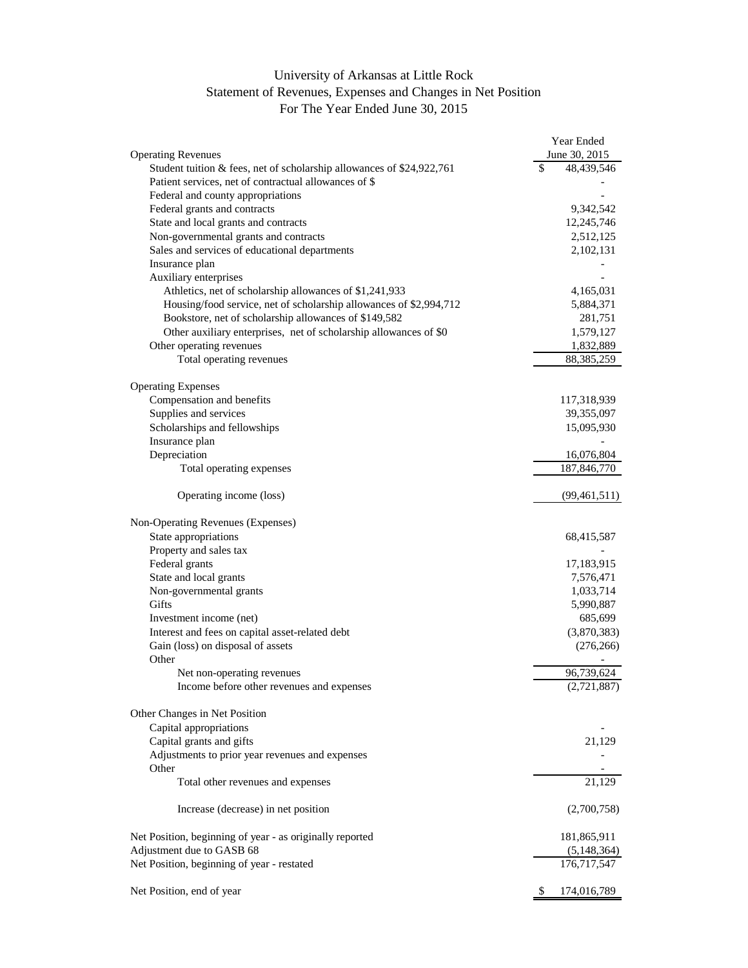## University of Arkansas at Little Rock Statement of Revenues, Expenses and Changes in Net Position For The Year Ended June 30, 2015

|                                                                          | Year Ended        |
|--------------------------------------------------------------------------|-------------------|
| <b>Operating Revenues</b>                                                | June 30, 2015     |
| Student tuition $\&$ fees, net of scholarship allowances of \$24,922,761 | \$<br>48,439,546  |
| Patient services, net of contractual allowances of \$                    |                   |
| Federal and county appropriations                                        |                   |
| Federal grants and contracts                                             | 9,342,542         |
| State and local grants and contracts                                     | 12,245,746        |
| Non-governmental grants and contracts                                    | 2,512,125         |
| Sales and services of educational departments                            | 2,102,131         |
| Insurance plan                                                           |                   |
| Auxiliary enterprises                                                    |                   |
| Athletics, net of scholarship allowances of \$1,241,933                  | 4,165,031         |
| Housing/food service, net of scholarship allowances of \$2,994,712       | 5,884,371         |
| Bookstore, net of scholarship allowances of \$149,582                    | 281,751           |
| Other auxiliary enterprises, net of scholarship allowances of \$0        | 1,579,127         |
| Other operating revenues                                                 | 1,832,889         |
| Total operating revenues                                                 | 88,385,259        |
|                                                                          |                   |
| <b>Operating Expenses</b>                                                |                   |
| Compensation and benefits                                                | 117,318,939       |
| Supplies and services                                                    | 39,355,097        |
| Scholarships and fellowships                                             | 15,095,930        |
| Insurance plan                                                           |                   |
| Depreciation                                                             | 16,076,804        |
| Total operating expenses                                                 | 187,846,770       |
|                                                                          |                   |
| Operating income (loss)                                                  | (99, 461, 511)    |
| Non-Operating Revenues (Expenses)                                        |                   |
| State appropriations                                                     | 68,415,587        |
| Property and sales tax                                                   |                   |
| Federal grants                                                           | 17,183,915        |
| State and local grants                                                   | 7,576,471         |
| Non-governmental grants                                                  | 1,033,714         |
| Gifts                                                                    | 5,990,887         |
| Investment income (net)                                                  | 685,699           |
| Interest and fees on capital asset-related debt                          | (3,870,383)       |
| Gain (loss) on disposal of assets                                        | (276, 266)        |
| Other                                                                    |                   |
| Net non-operating revenues                                               | 96,739,624        |
| Income before other revenues and expenses                                | (2,721,887)       |
|                                                                          |                   |
| Other Changes in Net Position                                            |                   |
| Capital appropriations                                                   |                   |
| Capital grants and gifts                                                 | 21,129            |
| Adjustments to prior year revenues and expenses                          |                   |
| Other                                                                    |                   |
| Total other revenues and expenses                                        | 21,129            |
| Increase (decrease) in net position                                      | (2,700,758)       |
|                                                                          |                   |
| Net Position, beginning of year - as originally reported                 | 181,865,911       |
| Adjustment due to GASB 68                                                | (5,148,364)       |
| Net Position, beginning of year - restated                               | 176,717,547       |
| Net Position, end of year                                                | \$<br>174,016,789 |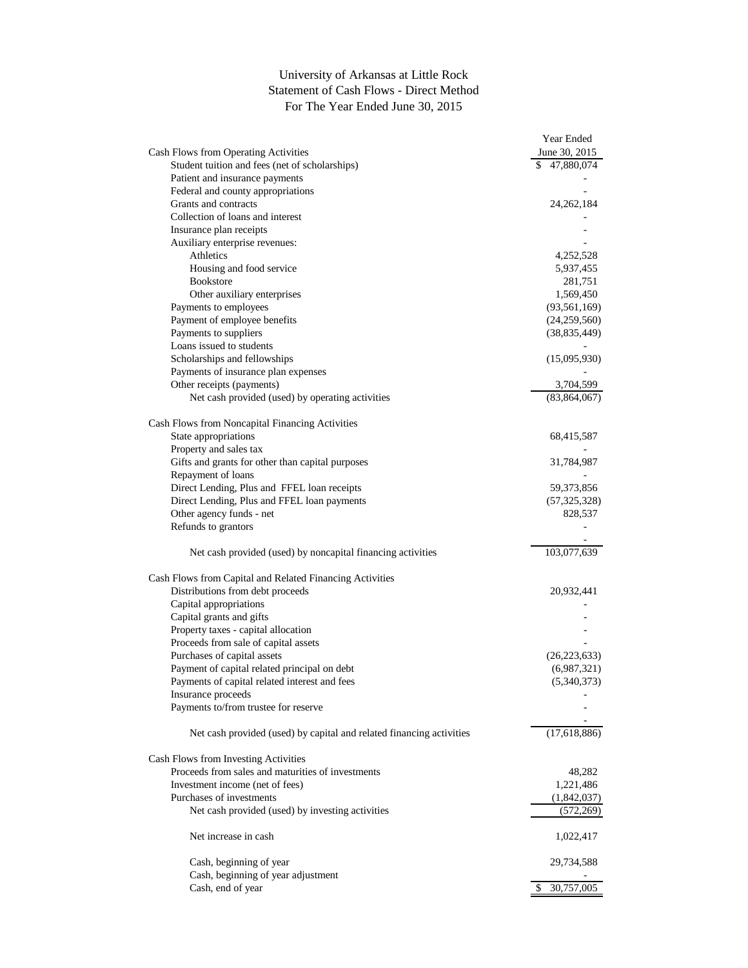## University of Arkansas at Little Rock Statement of Cash Flows - Direct Method For The Year Ended June 30, 2015

|                                                                      | Year Ended       |
|----------------------------------------------------------------------|------------------|
| Cash Flows from Operating Activities                                 | June 30, 2015    |
| Student tuition and fees (net of scholarships)                       | \$47,880,074     |
| Patient and insurance payments                                       |                  |
| Federal and county appropriations                                    |                  |
| Grants and contracts                                                 | 24, 262, 184     |
| Collection of loans and interest                                     |                  |
| Insurance plan receipts                                              |                  |
| Auxiliary enterprise revenues:                                       |                  |
| Athletics                                                            | 4,252,528        |
| Housing and food service                                             | 5,937,455        |
| <b>Bookstore</b>                                                     | 281,751          |
| Other auxiliary enterprises                                          | 1,569,450        |
| Payments to employees                                                | (93, 561, 169)   |
|                                                                      |                  |
| Payment of employee benefits                                         | (24,259,560)     |
| Payments to suppliers                                                | (38, 835, 449)   |
| Loans issued to students                                             |                  |
| Scholarships and fellowships                                         | (15,095,930)     |
| Payments of insurance plan expenses                                  |                  |
| Other receipts (payments)                                            | 3,704,599        |
| Net cash provided (used) by operating activities                     | (83, 864, 067)   |
| Cash Flows from Noncapital Financing Activities                      |                  |
| State appropriations                                                 |                  |
|                                                                      | 68,415,587       |
| Property and sales tax                                               |                  |
| Gifts and grants for other than capital purposes                     | 31,784,987       |
| Repayment of loans                                                   |                  |
| Direct Lending, Plus and FFEL loan receipts                          | 59,373,856       |
| Direct Lending, Plus and FFEL loan payments                          | (57, 325, 328)   |
| Other agency funds - net                                             | 828,537          |
| Refunds to grantors                                                  |                  |
| Net cash provided (used) by noncapital financing activities          | 103,077,639      |
| Cash Flows from Capital and Related Financing Activities             |                  |
| Distributions from debt proceeds                                     | 20,932,441       |
| Capital appropriations                                               |                  |
| Capital grants and gifts                                             |                  |
| Property taxes - capital allocation                                  |                  |
| Proceeds from sale of capital assets                                 |                  |
| Purchases of capital assets                                          | (26, 223, 633)   |
| Payment of capital related principal on debt                         | (6,987,321)      |
| Payments of capital related interest and fees                        |                  |
|                                                                      | (5,340,373)      |
| Insurance proceeds<br>Payments to/from trustee for reserve           |                  |
|                                                                      |                  |
| Net cash provided (used) by capital and related financing activities | (17,618,886)     |
| Cash Flows from Investing Activities                                 |                  |
| Proceeds from sales and maturities of investments                    | 48,282           |
| Investment income (net of fees)                                      | 1,221,486        |
| Purchases of investments                                             | (1,842,037)      |
| Net cash provided (used) by investing activities                     | (572, 269)       |
| Net increase in cash                                                 | 1,022,417        |
|                                                                      |                  |
| Cash, beginning of year                                              | 29,734,588       |
| Cash, beginning of year adjustment                                   |                  |
| Cash, end of year                                                    | 30,757,005<br>\$ |